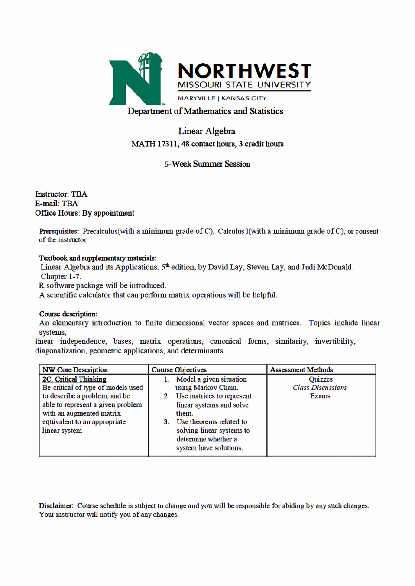

# Department of Mathematics and Statistics

# Linear Algebra MATH 17311, 48 contact hours, 3 credit hours

## **5-Week Summer Session**

**Instructor: TBA E-mail: TBA** Office Hours: By appointment

**Prerequisites:** Precalculus(with a minimum grade of C), Calculus I(with a minimum grade of C), or consent of the instructor

#### Textbook and supplementary materials:

Linear Algebra and its Applications, 5<sup>th</sup> edition, by David Lay, Steven Lay, and Judi McDonald. Chapter 1-7.

R software package will be introduced.

A scientific calculator that can perform matrix operations will be helpful.

#### **Course description:**

An elementary introduction to finite dimensional vector spaces and matrices. Topics include linear systems.

linear independence, bases, matrix operations, canonical forms, similarity, invertibility, diagonalization, geometric applications, and determinants.

| <b>NW Core Description</b>         | <b>Course Objectives</b>      | <b>Assessment Methods</b> |
|------------------------------------|-------------------------------|---------------------------|
| <b>2C. Critical Thinking</b>       | Model a given situation       | <b>Ouizzes</b>            |
| Be critical of type of models used | using Markov Chain.           | <b>Class Discussions</b>  |
| to describe a problem, and be      | 2. Use matrices to represent  | <b>Exams</b>              |
| able to represent a given problem  | linear systems and solve      |                           |
| with an augmented matrix           | them.                         |                           |
| equivalent to an appropriate       | Use theorems related to<br>3. |                           |
| linear system                      | solving linear systems to     |                           |
|                                    | determine whether a           |                           |
|                                    | system have solutions.        |                           |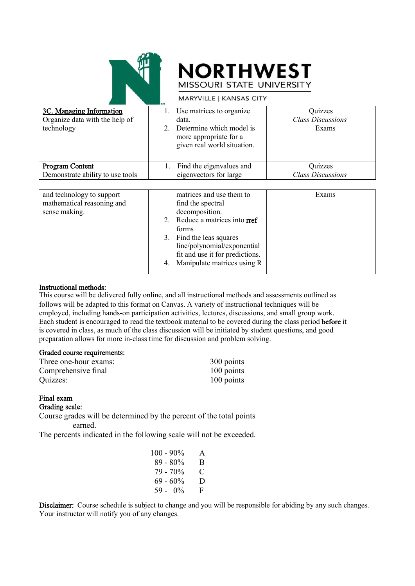



|                                                                          | <b>MARTVILLE   KANSAS CITT</b>                                                                                                                                                                                                                      |                                              |
|--------------------------------------------------------------------------|-----------------------------------------------------------------------------------------------------------------------------------------------------------------------------------------------------------------------------------------------------|----------------------------------------------|
| 3C. Managing Information<br>Organize data with the help of<br>technology | Use matrices to organize.<br>1.<br>data.<br>Determine which model is<br>$2_{-}$<br>more appropriate for a<br>given real world situation.                                                                                                            | Quizzes<br><b>Class Discussions</b><br>Exams |
| <b>Program Content</b><br>Demonstrate ability to use tools               | Find the eigenvalues and<br>1.<br>eigenvectors for large                                                                                                                                                                                            | Quizzes<br><b>Class Discussions</b>          |
|                                                                          |                                                                                                                                                                                                                                                     |                                              |
| and technology to support<br>mathematical reasoning and<br>sense making. | matrices and use them to<br>find the spectral<br>decomposition.<br>Reduce a matrices into rref<br>2.<br>forms<br>Find the leas squares<br>3.<br>line/polynomial/exponential<br>fit and use it for predictions.<br>Manipulate matrices using R<br>4. | Exams                                        |

#### Instructional methods:

This course will be delivered fully online, and all instructional methods and assessments outlined as follows will be adapted to this format on Canvas. A variety of instructional techniques will be employed, including hands-on participation activities, lectures, discussions, and small group work. Each student is encouraged to read the textbook material to be covered during the class period before it is covered in class, as much of the class discussion will be initiated by student questions, and good preparation allows for more in-class time for discussion and problem solving.

#### Graded course requirements:

| Three one-hour exams: | 300 points |
|-----------------------|------------|
| Comprehensive final   | 100 points |
| Quizzes:              | 100 points |

### Final exam

Grading scale:

Course grades will be determined by the percent of the total points earned.

The percents indicated in the following scale will not be exceeded.

| $100 - 90\%$ | A |
|--------------|---|
| $89 - 80\%$  | B |
| 79 - 70%     | € |
| $69 - 60\%$  | D |
| $59 - 0\%$   | F |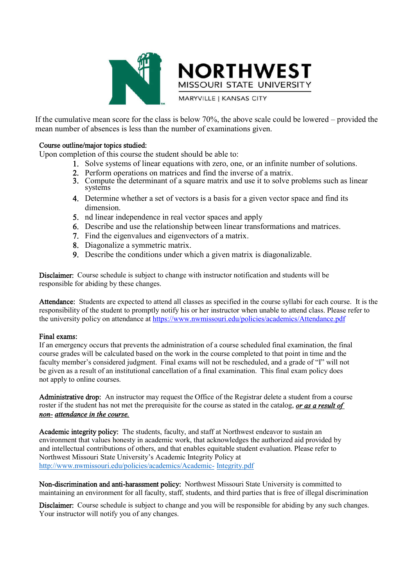

MISSOURI STATE UNIVERSITY **MARYVILLE | KANSAS CITY** 

**NORTHWEST** 

If the cumulative mean score for the class is below 70%, the above scale could be lowered – provided the mean number of absences is less than the number of examinations given.

#### Course outline/major topics studied:

Upon completion of this course the student should be able to:

- 1. Solve systems of linear equations with zero, one, or an infinite number of solutions.
- 2. Perform operations on matrices and find the inverse of a matrix.
- 3. Compute the determinant of a square matrix and use it to solve problems such as linear systems
- 4. Determine whether a set of vectors is a basis for a given vector space and find its dimension.
- 5. nd linear independence in real vector spaces and apply
- 6. Describe and use the relationship between linear transformations and matrices.
- 7. Find the eigenvalues and eigenvectors of a matrix.
- 8. Diagonalize a symmetric matrix.
- 9. Describe the conditions under which a given matrix is diagonalizable.

Disclaimer: Course schedule is subject to change with instructor notification and students will be responsible for abiding by these changes.

Attendance: Students are expected to attend all classes as specified in the course syllabi for each course. It is the responsibility of the student to promptly notify his or her instructor when unable to attend class. Please refer to the university policy on attendance at https://www.nwmissouri.edu/policies/academics/Attendance.pdf

#### Final exams:

If an emergency occurs that prevents the administration of a course scheduled final examination, the final course grades will be calculated based on the work in the course completed to that point in time and the faculty member's considered judgment. Final exams will not be rescheduled, and a grade of "I" will not be given as a result of an institutional cancellation of a final examination. This final exam policy does not apply to online courses.

Administrative drop: An instructor may request the Office of the Registrar delete a student from a course roster if the student has not met the prerequisite for the course as stated in the catalog, *or as a result of non- attendance in the course.*

Academic integrity policy: The students, faculty, and staff at Northwest endeavor to sustain an environment that values honesty in academic work, that acknowledges the authorized aid provided by and intellectual contributions of others, and that enables equitable student evaluation. Please refer to Northwest Missouri State University's Academic Integrity Policy at http://www.nwmissouri.edu/policies/academics/Academic- Integrity.pdf

Non-discrimination and anti-harassment policy: Northwest Missouri State University is committed to maintaining an environment for all faculty, staff, students, and third parties that is free of illegal discrimination